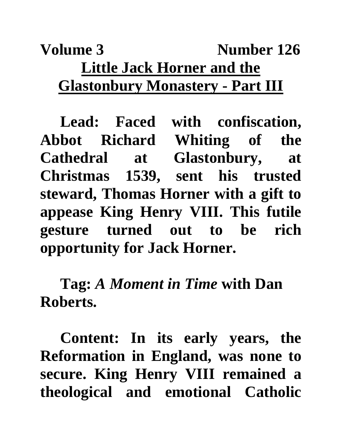## **Volume 3** Number 126 **Little Jack Horner and the Glastonbury Monastery - Part III**

**Lead: Faced with confiscation, Abbot Richard Whiting of the Cathedral at Glastonbury, at Christmas 1539, sent his trusted steward, Thomas Horner with a gift to appease King Henry VIII. This futile gesture turned out to be rich opportunity for Jack Horner.**

**Tag:** *A Moment in Time* **with Dan Roberts.**

**Content: In its early years, the Reformation in England, was none to secure. King Henry VIII remained a theological and emotional Catholic**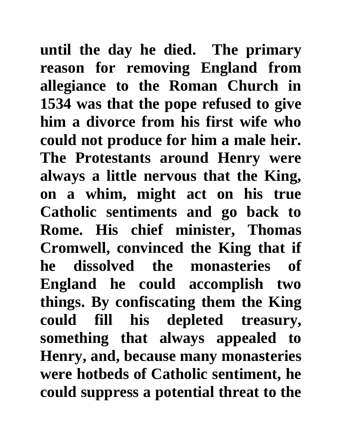**until the day he died. The primary reason for removing England from allegiance to the Roman Church in 1534 was that the pope refused to give him a divorce from his first wife who could not produce for him a male heir. The Protestants around Henry were always a little nervous that the King, on a whim, might act on his true Catholic sentiments and go back to Rome. His chief minister, Thomas Cromwell, convinced the King that if he dissolved the monasteries of England he could accomplish two things. By confiscating them the King could fill his depleted treasury, something that always appealed to Henry, and, because many monasteries were hotbeds of Catholic sentiment, he could suppress a potential threat to the**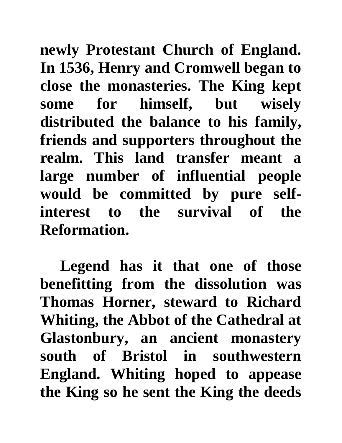**newly Protestant Church of England. In 1536, Henry and Cromwell began to close the monasteries. The King kept some for himself, but wisely distributed the balance to his family, friends and supporters throughout the realm. This land transfer meant a large number of influential people would be committed by pure selfinterest to the survival of the Reformation.** 

**Legend has it that one of those benefitting from the dissolution was Thomas Horner, steward to Richard Whiting, the Abbot of the Cathedral at Glastonbury, an ancient monastery south of Bristol in southwestern England. Whiting hoped to appease the King so he sent the King the deeds**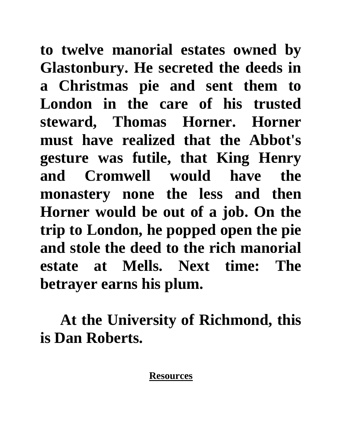**to twelve manorial estates owned by Glastonbury. He secreted the deeds in a Christmas pie and sent them to London in the care of his trusted steward, Thomas Horner. Horner must have realized that the Abbot's gesture was futile, that King Henry and Cromwell would have the monastery none the less and then Horner would be out of a job. On the trip to London, he popped open the pie and stole the deed to the rich manorial estate at Mells. Next time: The betrayer earns his plum.**

**At the University of Richmond, this is Dan Roberts.**

## **Resources**